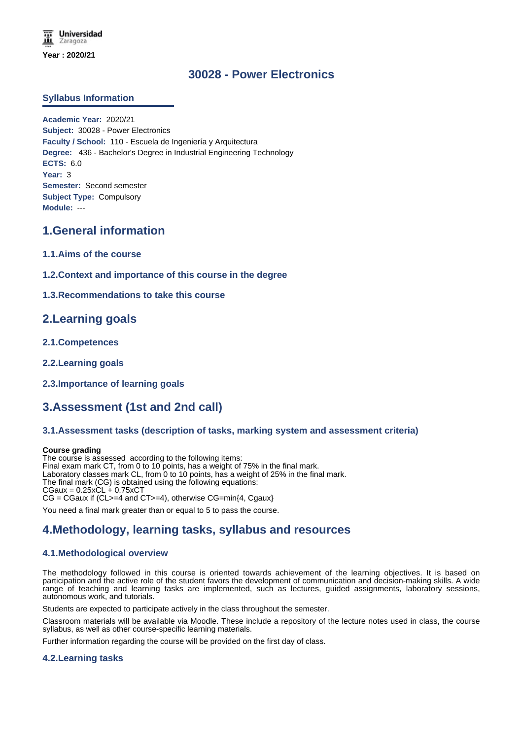# **30028 - Power Electronics**

## **Syllabus Information**

**Academic Year:** 2020/21 **Subject:** 30028 - Power Electronics **Faculty / School:** 110 - Escuela de Ingeniería y Arquitectura **Degree:** 436 - Bachelor's Degree in Industrial Engineering Technology **ECTS:** 6.0 **Year:** 3 **Semester:** Second semester **Subject Type:** Compulsory **Module:** ---

## **1.General information**

- **1.1.Aims of the course**
- **1.2.Context and importance of this course in the degree**

### **1.3.Recommendations to take this course**

## **2.Learning goals**

- **2.1.Competences**
- **2.2.Learning goals**
- **2.3.Importance of learning goals**

# **3.Assessment (1st and 2nd call)**

### **3.1.Assessment tasks (description of tasks, marking system and assessment criteria)**

#### **Course grading**

The course is assessed according to the following items: Final exam mark CT, from 0 to 10 points, has a weight of 75% in the final mark. Laboratory classes mark CL, from 0 to 10 points, has a weight of 25% in the final mark. The final mark (CG) is obtained using the following equations:  $CGaux = 0.25xCL + 0.75xCT$ CG = CGaux if (CL>=4 and CT>=4), otherwise CG=min{4, Cgaux}

You need a final mark greater than or equal to 5 to pass the course.

# **4.Methodology, learning tasks, syllabus and resources**

## **4.1.Methodological overview**

The methodology followed in this course is oriented towards achievement of the learning objectives. It is based on participation and the active role of the student favors the development of communication and decision-making skills. A wide range of teaching and learning tasks are implemented, such as lectures, guided assignments, laboratory sessions, autonomous work, and tutorials.

Students are expected to participate actively in the class throughout the semester.

Classroom materials will be available via Moodle. These include a repository of the lecture notes used in class, the course syllabus, as well as other course-specific learning materials.

Further information regarding the course will be provided on the first day of class.

### **4.2.Learning tasks**